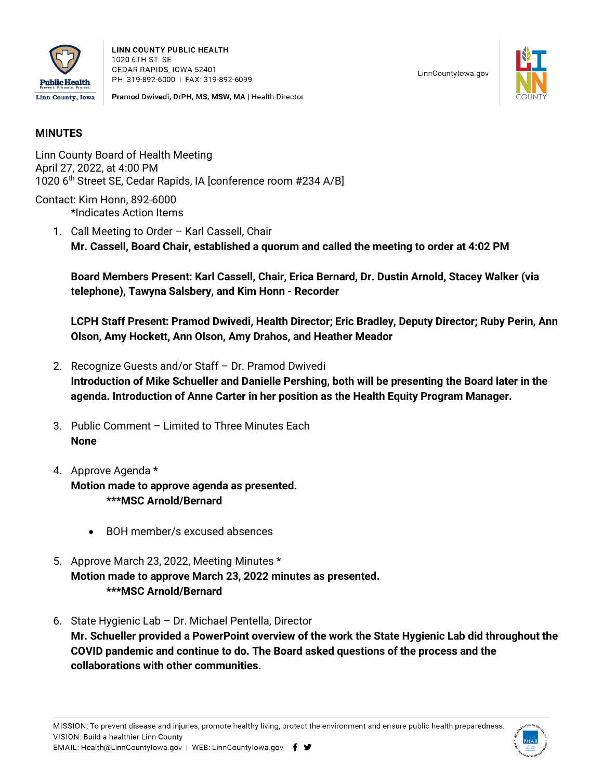

**LINN COUNTY PUBLIC HEALTH** 1020 6TH ST. SE CEDAR RAPIDS, IOWA 52401 PH: 319-892-6000 | FAX: 319-892-6099

Pramod Dwivedi, DrPH, MS, MSW, MA | Health Director



## **MINUTES**

Linn County Board of Health Meeting April 27, 2022, at 4:00 PM 1020 6th Street SE, Cedar Rapids, IA [conference room #234 A/B]

Contact: Kim Honn, 892-6000 \*Indicates Action Items

> 1. Call Meeting to Order – Karl Cassell, Chair **Mr. Cassell, Board Chair, established a quorum and called the meeting to order at 4:02 PM**

**Board Members Present: Karl Cassell, Chair, Erica Bernard, Dr. Dustin Arnold, Stacey Walker (via telephone), Tawyna Salsbery, and Kim Honn - Recorder**

**LCPH Staff Present: Pramod Dwivedi, Health Director; Eric Bradley, Deputy Director; Ruby Perin, Ann Olson, Amy Hockett, Ann Olson, Amy Drahos, and Heather Meador**

- 2. Recognize Guests and/or Staff Dr. Pramod Dwivedi **Introduction of Mike Schueller and Danielle Pershing, both will be presenting the Board later in the agenda. Introduction of Anne Carter in her position as the Health Equity Program Manager.**
- 3. Public Comment Limited to Three Minutes Each **None**
- 4. Approve Agenda \* **Motion made to approve agenda as presented. \*\*\*MSC Arnold/Bernard**
	- BOH member/s excused absences
- 5. Approve March 23, 2022, Meeting Minutes \* **Motion made to approve March 23, 2022 minutes as presented. \*\*\*MSC Arnold/Bernard**
- 6. State Hygienic Lab Dr. Michael Pentella, Director **Mr. Schueller provided a PowerPoint overview of the work the State Hygienic Lab did throughout the COVID pandemic and continue to do. The Board asked questions of the process and the collaborations with other communities.**

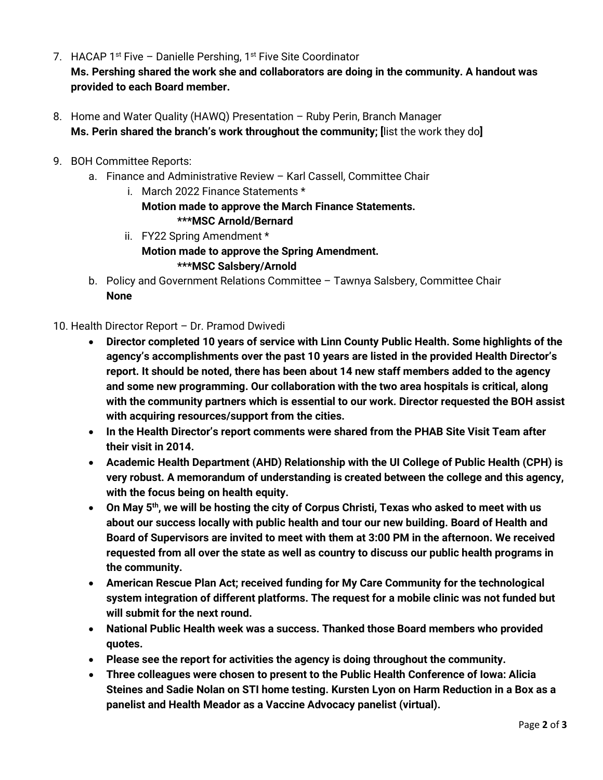- 7. HACAP  $1^{st}$  Five Danielle Pershing,  $1^{st}$  Five Site Coordinator **Ms. Pershing shared the work she and collaborators are doing in the community. A handout was provided to each Board member.**
- 8. Home and Water Quality (HAWQ) Presentation Ruby Perin, Branch Manager **Ms. Perin shared the branch's work throughout the community; [**list the work they do**]**
- 9. BOH Committee Reports:
	- a. Finance and Administrative Review Karl Cassell, Committee Chair
		- i. March 2022 Finance Statements \* **Motion made to approve the March Finance Statements. \*\*\*MSC Arnold/Bernard**
		- ii. FY22 Spring Amendment \* **Motion made to approve the Spring Amendment. \*\*\*MSC Salsbery/Arnold**
	- b. Policy and Government Relations Committee Tawnya Salsbery, Committee Chair **None**

## 10. Health Director Report – Dr. Pramod Dwivedi

- **Director completed 10 years of service with Linn County Public Health. Some highlights of the agency's accomplishments over the past 10 years are listed in the provided Health Director's report. It should be noted, there has been about 14 new staff members added to the agency and some new programming. Our collaboration with the two area hospitals is critical, along with the community partners which is essential to our work. Director requested the BOH assist with acquiring resources/support from the cities.**
- **In the Health Director's report comments were shared from the PHAB Site Visit Team after their visit in 2014.**
- **Academic Health Department (AHD) Relationship with the UI College of Public Health (CPH) is very robust. A memorandum of understanding is created between the college and this agency, with the focus being on health equity.**
- **On May 5th, we will be hosting the city of Corpus Christi, Texas who asked to meet with us about our success locally with public health and tour our new building. Board of Health and Board of Supervisors are invited to meet with them at 3:00 PM in the afternoon. We received requested from all over the state as well as country to discuss our public health programs in the community.**
- **American Rescue Plan Act; received funding for My Care Community for the technological system integration of different platforms. The request for a mobile clinic was not funded but will submit for the next round.**
- **National Public Health week was a success. Thanked those Board members who provided quotes.**
- **Please see the report for activities the agency is doing throughout the community.**
- **Three colleagues were chosen to present to the Public Health Conference of Iowa: Alicia Steines and Sadie Nolan on STI home testing. Kursten Lyon on Harm Reduction in a Box as a panelist and Health Meador as a Vaccine Advocacy panelist (virtual).**